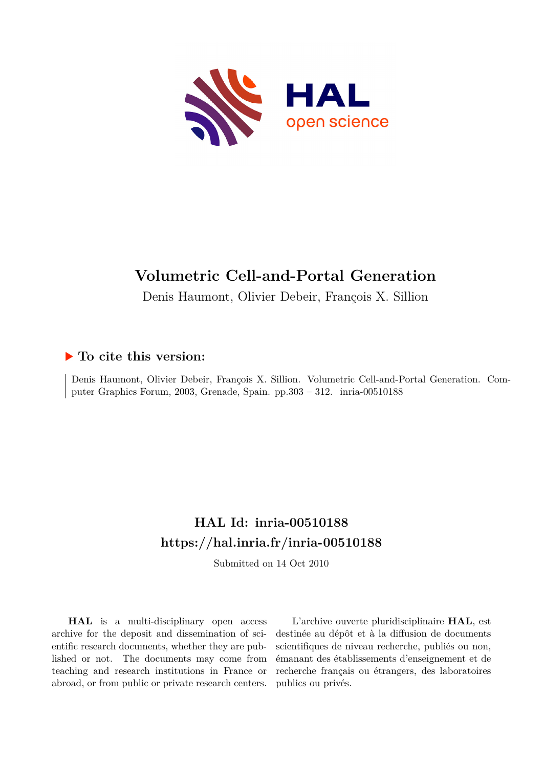

# **Volumetric Cell-and-Portal Generation**

Denis Haumont, Olivier Debeir, François X. Sillion

## **To cite this version:**

Denis Haumont, Olivier Debeir, François X. Sillion. Volumetric Cell-and-Portal Generation. Computer Graphics Forum, 2003, Grenade, Spain. pp.303 - 312. inria-00510188

# **HAL Id: inria-00510188 <https://hal.inria.fr/inria-00510188>**

Submitted on 14 Oct 2010

**HAL** is a multi-disciplinary open access archive for the deposit and dissemination of scientific research documents, whether they are published or not. The documents may come from teaching and research institutions in France or abroad, or from public or private research centers.

L'archive ouverte pluridisciplinaire **HAL**, est destinée au dépôt et à la diffusion de documents scientifiques de niveau recherche, publiés ou non, émanant des établissements d'enseignement et de recherche français ou étrangers, des laboratoires publics ou privés.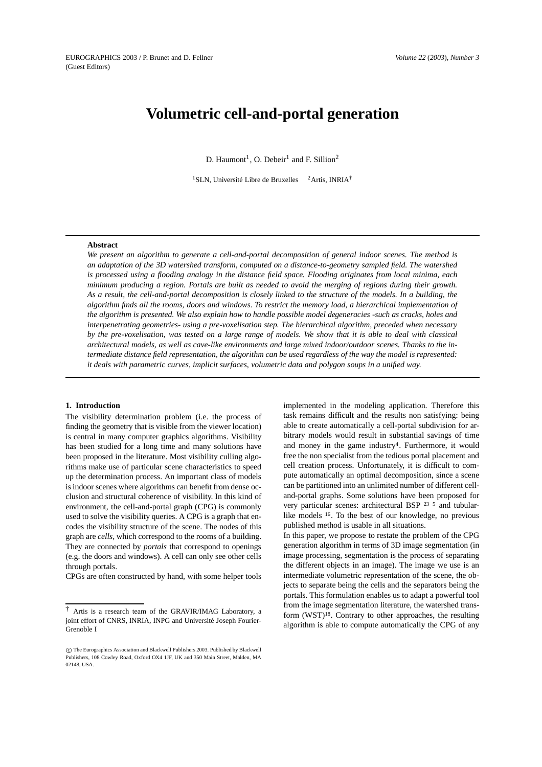## **Volumetric cell-and-portal generation**

D. Haumont<sup>1</sup>, O. Debeir<sup>1</sup> and F. Sillion<sup>2</sup>

<sup>1</sup>SLN, Université Libre de Bruxelles <sup>2</sup>Artis, INRIA<sup>†</sup>

#### **Abstract**

*We present an algorithm to generate a cell-and-portal decomposition of general indoor scenes. The method is an adaptation of the 3D watershed transform, computed on a distance-to-geometry sampled field. The watershed* is processed using a flooding analogy in the distance field space. Flooding originates from local minima, each minimum producing a region. Portals are built as needed to avoid the merging of regions during their growth. As a result, the cell-and-portal decomposition is closely linked to the structure of the models. In a building, the algorithm finds all the rooms, doors and windows. To restrict the memory load, a hierarchical implementation of the algorithm is presented. We also explain how to handle possible model degeneracies -such as cracks, holes and *interpenetrating geometries- using a pre-voxelisation step. The hierarchical algorithm, preceded when necessary* by the pre-voxelisation, was tested on a large range of models. We show that it is able to deal with classical architectural models, as well as cave-like environments and large mixed indoor/outdoor scenes. Thanks to the intermediate distance field representation, the algorithm can be used regardless of the way the model is represented: *it deals with parametric curves, implicit surfaces, volumetric data and polygon soups in a unified way.*

#### **1. Introduction**

The visibility determination problem (i.e. the process of finding the geometry that is visible from the viewer location) is central in many computer graphics algorithms. Visibility has been studied for a long time and many solutions have been proposed in the literature. Most visibility culling algorithms make use of particular scene characteristics to speed up the determination process. An important class of models is indoor scenes where algorithms can benefit from dense occlusion and structural coherence of visibility. In this kind of environment, the cell-and-portal graph (CPG) is commonly used to solve the visibility queries. A CPG is a graph that encodes the visibility structure of the scene. The nodes of this graph are *cells*, which correspond to the rooms of a building. They are connected by *portals* that correspond to openings (e.g. the doors and windows). A cell can only see other cells through portals.

CPGs are often constructed by hand, with some helper tools

implemented in the modeling application. Therefore this task remains difficult and the results non satisfying: being able to create automatically a cell-portal subdivision for arbitrary models would result in substantial savings of time and money in the game industry4. Furthermore, it would free the non specialist from the tedious portal placement and cell creation process. Unfortunately, it is difficult to compute automatically an optimal decomposition, since a scene can be partitioned into an unlimited number of different celland-portal graphs. Some solutions have been proposed for very particular scenes: architectural BSP <sup>23</sup> <sup>5</sup> and tubularlike models <sup>16</sup> . To the best of our knowledge, no previous published method is usable in all situations.

In this paper, we propose to restate the problem of the CPG generation algorithm in terms of 3D image segmentation (in image processing, segmentation is the process of separating the different objects in an image). The image we use is an intermediate volumetric representation of the scene, the objects to separate being the cells and the separators being the portals. This formulation enables us to adapt a powerful tool from the image segmentation literature, the watershed transform (WST)18. Contrary to other approaches, the resulting algorithm is able to compute automatically the CPG of any

<sup>†</sup> Artis is a research team of the GRAVIR/IMAG Laboratory, a joint effort of CNRS, INRIA, INPG and Université Joseph Fourier-Grenoble I

c The Eurographics Association and Blackwell Publishers 2003. Published by Blackwell Publishers, 108 Cowley Road, Oxford OX4 1JF, UK and 350 Main Street, Malden, MA 02148, USA.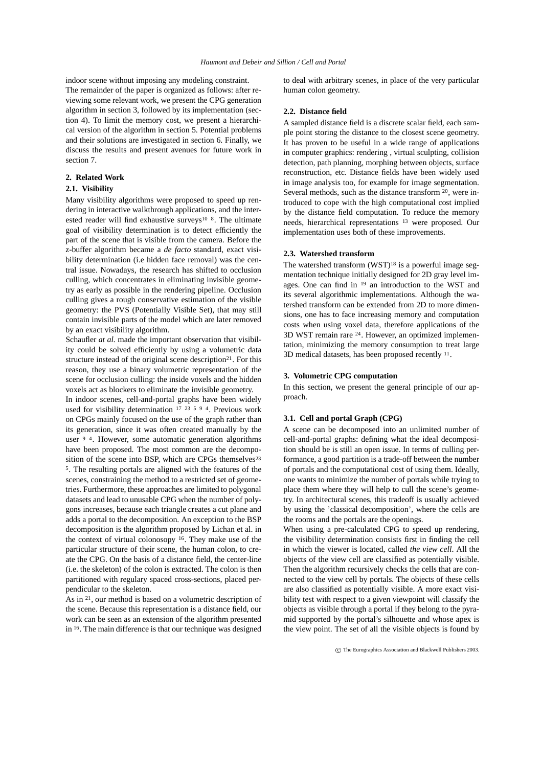indoor scene without imposing any modeling constraint. The remainder of the paper is organized as follows: after reviewing some relevant work, we present the CPG generation algorithm in section 3, followed by its implementation (section 4). To limit the memory cost, we present a hierarchical version of the algorithm in section 5. Potential problems and their solutions are investigated in section 6. Finally, we discuss the results and present avenues for future work in section 7.

## **2. Related Work**

## **2.1. Visibility**

Many visibility algorithms were proposed to speed up rendering in interactive walkthrough applications, and the interested reader will find exhaustive surveys<sup>10 8</sup>. The ultimate goal of visibility determination is to detect efficiently the part of the scene that is visible from the camera. Before the z-buffer algorithm became a *de facto* standard, exact visibility determination (i.e hidden face removal) was the central issue. Nowadays, the research has shifted to occlusion culling, which concentrates in eliminating invisible geometry as early as possible in the rendering pipeline. Occlusion culling gives a rough conservative estimation of the visible geometry: the PVS (Potentially Visible Set), that may still contain invisible parts of the model which are later removed by an exact visibility algorithm.

Schaufler *at al.* made the important observation that visibility could be solved efficiently by using a volumetric data structure instead of the original scene description<sup>21</sup>. For this reason, they use a binary volumetric representation of the scene for occlusion culling: the inside voxels and the hidden voxels act as blockers to eliminate the invisible geometry.

In indoor scenes, cell-and-portal graphs have been widely used for visibility determination <sup>17</sup> <sup>23</sup> <sup>5</sup> <sup>9</sup> <sup>4</sup>. Previous work on CPGs mainly focused on the use of the graph rather than its generation, since it was often created manually by the user <sup>9</sup><sup>4</sup>. However, some automatic generation algorithms have been proposed. The most common are the decomposition of the scene into BSP, which are CPGs themselves<sup>23</sup> <sup>5</sup>. The resulting portals are aligned with the features of the scenes, constraining the method to a restricted set of geometries. Furthermore, these approaches are limited to polygonal datasets and lead to unusable CPG when the number of polygons increases, because each triangle creates a cut plane and adds a portal to the decomposition. An exception to the BSP decomposition is the algorithm proposed by Lichan et al. in the context of virtual colonosopy <sup>16</sup>. They make use of the particular structure of their scene, the human colon, to create the CPG. On the basis of a distance field, the center-line (i.e. the skeleton) of the colon is extracted. The colon is then partitioned with regulary spaced cross-sections, placed perpendicular to the skeleton.

As in <sup>21</sup>, our method is based on a volumetric description of the scene. Because this representation is a distance field, our work can be seen as an extension of the algorithm presented in <sup>16</sup> . The main difference is that our technique was designed

to deal with arbitrary scenes, in place of the very particular human colon geometry.

#### **2.2. Distance field**

A sampled distance field is a discrete scalar field, each sample point storing the distance to the closest scene geometry. It has proven to be useful in a wide range of applications in computer graphics: rendering , virtual sculpting, collision detection, path planning, morphing between objects, surface reconstruction, etc. Distance fields have been widely used in image analysis too, for example for image segmentation. Several methods, such as the distance transform  $20$ , were introduced to cope with the high computational cost implied by the distance field computation. To reduce the memory needs, hierarchical representations <sup>13</sup> were proposed. Our implementation uses both of these improvements.

## **2.3. Watershed transform**

The watershed transform (WST)<sup>18</sup> is a powerful image segmentation technique initially designed for 2D gray level images. One can find in <sup>19</sup> an introduction to the WST and its several algorithmic implementations. Although the watershed transform can be extended from 2D to more dimensions, one has to face increasing memory and computation costs when using voxel data, therefore applications of the 3D WST remain rare <sup>24</sup> . However, an optimized implementation, minimizing the memory consumption to treat large 3D medical datasets, has been proposed recently <sup>11</sup>.

## **3. Volumetric CPG computation**

In this section, we present the general principle of our approach.

#### **3.1. Cell and portal Graph (CPG)**

A scene can be decomposed into an unlimited number of cell-and-portal graphs: defining what the ideal decomposition should be is still an open issue. In terms of culling performance, a good partition is a trade-off between the number of portals and the computational cost of using them. Ideally, one wants to minimize the number of portals while trying to place them where they will help to cull the scene's geometry. In architectural scenes, this tradeoff is usually achieved by using the 'classical decomposition', where the cells are the rooms and the portals are the openings.

When using a pre-calculated CPG to speed up rendering, the visibility determination consists first in finding the cell in which the viewer is located, called *the view cell*. All the objects of the view cell are classified as potentially visible. Then the algorithm recursively checks the cells that are connected to the view cell by portals. The objects of these cells are also classified as potentially visible. A more exact visibility test with respect to a given viewpoint will classify the objects as visible through a portal if they belong to the pyramid supported by the portal's silhouette and whose apex is the view point. The set of all the visible objects is found by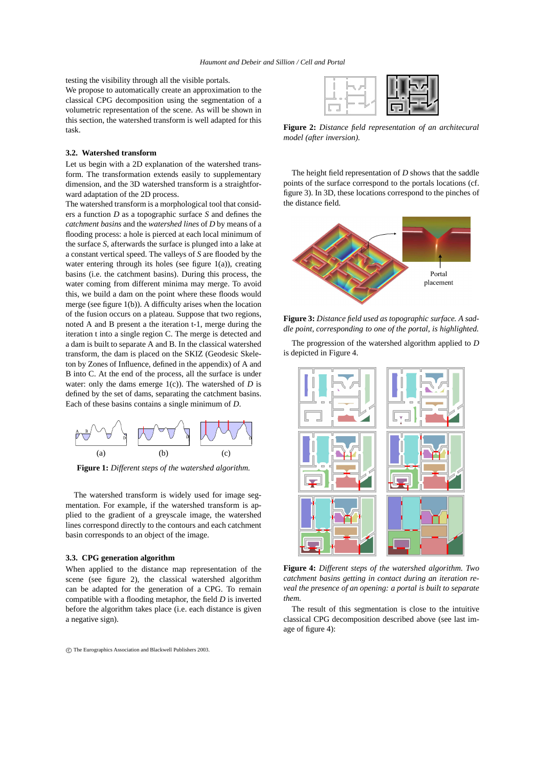testing the visibility through all the visible portals.

We propose to automatically create an approximation to the classical CPG decomposition using the segmentation of a volumetric representation of the scene. As will be shown in this section, the watershed transform is well adapted for this task.

## **3.2. Watershed transform**

Let us begin with a 2D explanation of the watershed transform. The transformation extends easily to supplementary dimension, and the 3D watershed transform is a straightforward adaptation of the 2D process.

The watershed transform is a morphological tool that considers a function *D* as a topographic surface *S* and defines the *catchment basins* and the *watershed lines* of *D* by means of a flooding process: a hole is pierced at each local minimum of the surface *S*, afterwards the surface is plunged into a lake at a constant vertical speed. The valleys of *S* are flooded by the water entering through its holes (see figure  $1(a)$ ), creating basins (i.e. the catchment basins). During this process, the water coming from different minima may merge. To avoid this, we build a dam on the point where these floods would merge (see figure 1(b)). A difficulty arises when the location of the fusion occurs on a plateau. Suppose that two regions, noted A and B present a the iteration t-1, merge during the iteration t into a single region C. The merge is detected and a dam is built to separate A and B. In the classical watershed transform, the dam is placed on the SKIZ (Geodesic Skeleton by Zones of Influence, defined in the appendix) of A and B into C. At the end of the process, all the surface is under water: only the dams emerge 1(c)). The watershed of *D* is defined by the set of dams, separating the catchment basins. Each of these basins contains a single minimum of *D*.



**Figure 1:** *Different steps of the watershed algorithm.*

The watershed transform is widely used for image segmentation. For example, if the watershed transform is applied to the gradient of a greyscale image, the watershed lines correspond directly to the contours and each catchment basin corresponds to an object of the image.

#### **3.3. CPG generation algorithm**

When applied to the distance map representation of the scene (see figure 2), the classical watershed algorithm can be adapted for the generation of a CPG. To remain compatible with a flooding metaphor, the field *D* is inverted before the algorithm takes place (i.e. each distance is given a negative sign).



**Figure 2:** *Distance field representation of an architecural model (after inversion).*

The height field representation of *D* shows that the saddle points of the surface correspond to the portals locations (cf. figure 3). In 3D, these locations correspond to the pinches of the distance field.



**Figure 3:** *Distance field used as topographic surface. A saddle point, corresponding to one of the portal, is highlighted.*

The progression of the watershed algorithm applied to *D* is depicted in Figure 4.



**Figure 4:** *Different steps of the watershed algorithm. Two catchment basins getting in contact during an iteration reveal the presence of an opening: a portal is built to separate them.*

The result of this segmentation is close to the intuitive classical CPG decomposition described above (see last image of figure 4):

c The Eurographics Association and Blackwell Publishers 2003.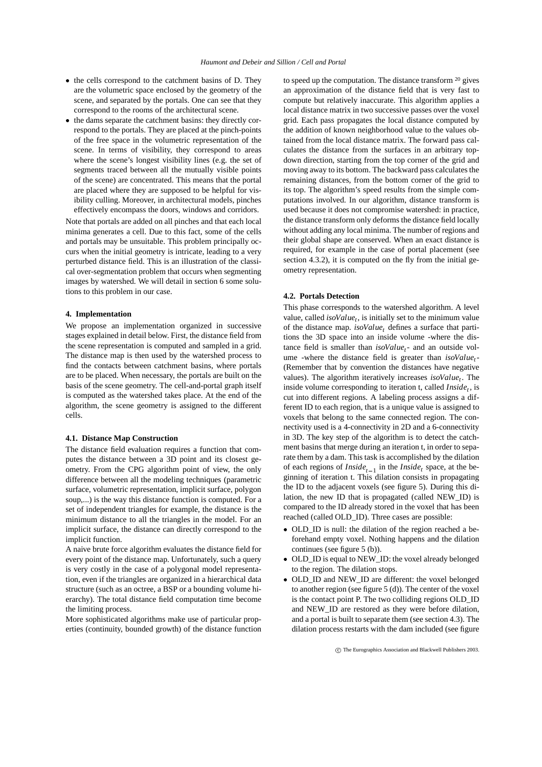- the cells correspond to the catchment basins of D. They are the volumetric space enclosed by the geometry of the scene, and separated by the portals. One can see that they correspond to the rooms of the architectural scene.
- the dams separate the catchment basins: they directly correspond to the portals. They are placed at the pinch-points of the free space in the volumetric representation of the scene. In terms of visibility, they correspond to areas where the scene's longest visibility lines (e.g. the set of segments traced between all the mutually visible points of the scene) are concentrated. This means that the portal are placed where they are supposed to be helpful for visibility culling. Moreover, in architectural models, pinches effectively encompass the doors, windows and corridors.

Note that portals are added on all pinches and that each local minima generates a cell. Due to this fact, some of the cells and portals may be unsuitable. This problem principally occurs when the initial geometry is intricate, leading to a very perturbed distance field. This is an illustration of the classical over-segmentation problem that occurs when segmenting images by watershed. We will detail in section 6 some solutions to this problem in our case.

## **4. Implementation**

We propose an implementation organized in successive stages explained in detail below. First, the distance field from the scene representation is computed and sampled in a grid. The distance map is then used by the watershed process to find the contacts between catchment basins, where portals are to be placed. When necessary, the portals are built on the basis of the scene geometry. The cell-and-portal graph itself is computed as the watershed takes place. At the end of the algorithm, the scene geometry is assigned to the different cells.

#### **4.1. Distance Map Construction**

The distance field evaluation requires a function that computes the distance between a 3D point and its closest geometry. From the CPG algorithm point of view, the only difference between all the modeling techniques (parametric surface, volumetric representation, implicit surface, polygon soup,...) is the way this distance function is computed. For a set of independent triangles for example, the distance is the minimum distance to all the triangles in the model. For an implicit surface, the distance can directly correspond to the implicit function.

A naive brute force algorithm evaluates the distance field for every point of the distance map. Unfortunately, such a query is very costly in the case of a polygonal model representation, even if the triangles are organized in a hierarchical data structure (such as an octree, a BSP or a bounding volume hierarchy). The total distance field computation time become the limiting process.

More sophisticated algorithms make use of particular properties (continuity, bounded growth) of the distance function to speed up the computation. The distance transform <sup>20</sup> gives an approximation of the distance field that is very fast to compute but relatively inaccurate. This algorithm applies a local distance matrix in two successive passes over the voxel grid. Each pass propagates the local distance computed by the addition of known neighborhood value to the values obtained from the local distance matrix. The forward pass calculates the distance from the surfaces in an arbitrary topdown direction, starting from the top corner of the grid and moving away to its bottom. The backward pass calculates the remaining distances, from the bottom corner of the grid to its top. The algorithm's speed results from the simple computations involved. In our algorithm, distance transform is used because it does not compromise watershed: in practice, the distance transform only deforms the distance field locally without adding any local minima. The number of regions and their global shape are conserved. When an exact distance is required, for example in the case of portal placement (see section 4.3.2), it is computed on the fly from the initial geometry representation.

#### **4.2. Portals Detection**

This phase corresponds to the watershed algorithm. A level value, called *isoValue<sup>t</sup>* , is initially set to the minimum value of the distance map. *isoValue<sup>t</sup>* defines a surface that partitions the 3D space into an inside volume -where the distance field is smaller than *isoValue<sup>t</sup>* - and an outside volume -where the distance field is greater than *isoValue<sup>t</sup>* - (Remember that by convention the distances have negative values). The algorithm iteratively increases *isoValue<sup>t</sup>* . The inside volume corresponding to iteration t, called *Inside<sup>t</sup>* , is cut into different regions. A labeling process assigns a different ID to each region, that is a unique value is assigned to voxels that belong to the same connected region. The connectivity used is a 4-connectivity in 2D and a 6-connectivity in 3D. The key step of the algorithm is to detect the catchment basins that merge during an iteration t, in order to separate them by a dam. This task is accomplished by the dilation of each regions of  $Inside_{t-1}$  in the  $Inside_t$  space, at the beginning of iteration t. This dilation consists in propagating the ID to the adjacent voxels (see figure 5). During this dilation, the new ID that is propagated (called NEW\_ID) is compared to the ID already stored in the voxel that has been reached (called OLD\_ID). Three cases are possible:

- OLD\_ID is null: the dilation of the region reached a beforehand empty voxel. Nothing happens and the dilation continues (see figure 5 (b)).
- OLD\_ID is equal to NEW\_ID: the voxel already belonged to the region. The dilation stops.
- OLD\_ID and NEW\_ID are different: the voxel belonged to another region (see figure 5 (d)). The center of the voxel is the contact point P. The two colliding regions OLD\_ID and NEW\_ID are restored as they were before dilation, and a portal is built to separate them (see section 4.3). The dilation process restarts with the dam included (see figure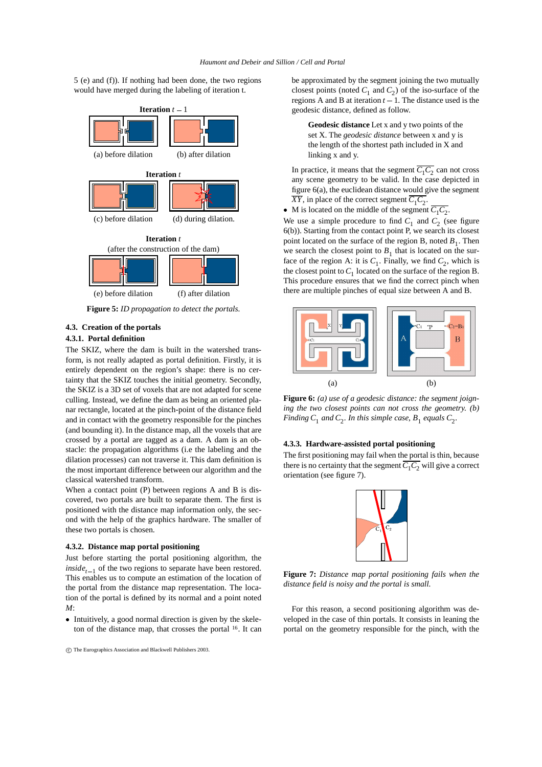5 (e) and (f)). If nothing had been done, the two regions would have merged during the labeling of iteration t.



**Figure 5:** *ID propagation to detect the portals.*

## **4.3. Creation of the portals**

## **4.3.1. Portal definition**

The SKIZ, where the dam is built in the watershed transform, is not really adapted as portal definition. Firstly, it is entirely dependent on the region's shape: there is no certainty that the SKIZ touches the initial geometry. Secondly, the SKIZ is a 3D set of voxels that are not adapted for scene culling. Instead, we define the dam as being an oriented planar rectangle, located at the pinch-point of the distance field and in contact with the geometry responsible for the pinches (and bounding it). In the distance map, all the voxels that are crossed by a portal are tagged as a dam. A dam is an obstacle: the propagation algorithms (i.e the labeling and the dilation processes) can not traverse it. This dam definition is the most important difference between our algorithm and the classical watershed transform.

When a contact point (P) between regions A and B is discovered, two portals are built to separate them. The first is positioned with the distance map information only, the second with the help of the graphics hardware. The smaller of these two portals is chosen.

#### **4.3.2. Distance map portal positioning**

Just before starting the portal positioning algorithm, the  $inside_{t-1}$  of the two regions to separate have been restored. This enables us to compute an estimation of the location of the portal from the distance map representation. The location of the portal is defined by its normal and a point noted *M*:

 Intuitively, a good normal direction is given by the skeleton of the distance map, that crosses the portal <sup>16</sup>. It can be approximated by the segment joining the two mutually closest points (noted  $C_1$  and  $C_2$ ) of the iso-surface of the regions A and B at iteration  $t - 1$ . The distance used is the geodesic distance, defined as follow.

**Geodesic distance** Let x and y two points of the set X. The *geodesic distance* between x and y is the length of the shortest path included in X and linking x and y.

In practice, it means that the segment  $\overline{C_1 C_2}$  can not cross any scene geometry to be valid. In the case depicted in figure 6(a), the euclidean distance would give the segment  $\overline{XY}$ , in place of the correct segment  $C_1C_2$ .

 $\bullet$  M is located on the middle of the segment  $C_1C_2$ .

We use a simple procedure to find  $C_1$  and  $C_2$  (see figure 6(b)). Starting from the contact point P, we search its closest point located on the surface of the region B, noted  $B_1$ . Then we search the closest point to  $B_1$  that is located on the surface of the region A: it is  $C_1$ . Finally, we find  $C_2$ , which is the closest point to  $C_1$  located on the surface of the region B. This procedure ensures that we find the correct pinch when there are multiple pinches of equal size between A and B.



**Figure 6:** *(a) use of a geodesic distance: the segment joigning the two closest points can not cross the geometry. (b) Finding*  $C_1$  *and*  $C_2$ *. In this simple case,*  $B_1$  *equals*  $C_2$ *.* 

## **4.3.3. Hardware-assisted portal positioning**

The first positioning may fail when the portal is thin, because there is no certainty that the segment  $\overline{C_1C_2}$  will give a correct orientation (see figure 7).



**Figure 7:** *Distance map portal positioning fails when the distance field is noisy and the portal is small.*

For this reason, a second positioning algorithm was developed in the case of thin portals. It consists in leaning the portal on the geometry responsible for the pinch, with the

c The Eurographics Association and Blackwell Publishers 2003.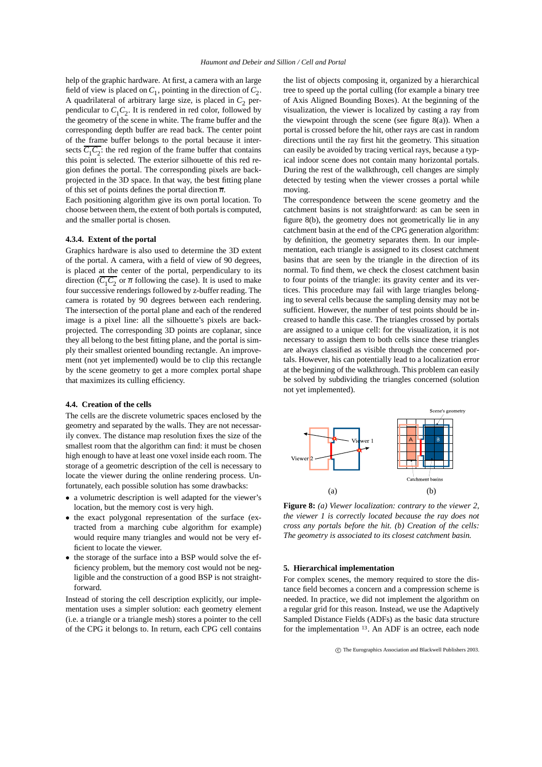help of the graphic hardware. At first, a camera with an large field of view is placed on  $C_1$ , pointing in the direction of  $C_2$ . A quadrilateral of arbitrary large size, is placed in  $C_2$  perpendicular to  $C_1 C_2$ . It is rendered in red color, followed by the geometry of the scene in white. The frame buffer and the corresponding depth buffer are read back. The center point of the frame buffer belongs to the portal because it intersects  $\overline{C_1 C_2}$ : the red region of the frame buffer that contains this point is selected. The exterior silhouette of this red region defines the portal. The corresponding pixels are backprojected in the 3D space. In that way, the best fitting plane of this set of points defines the portal direction  $\overline{n}$ .

Each positioning algorithm give its own portal location. To choose between them, the extent of both portals is computed, and the smaller portal is chosen.

#### **4.3.4. Extent of the portal**

Graphics hardware is also used to determine the 3D extent of the portal. A camera, with a field of view of 90 degrees, is placed at the center of the portal, perpendiculary to its direction  $(\overline{C_1 C_2}$  or  $\overline{n}$  following the case). It is used to make four successive renderings followed by z-buffer reading. The camera is rotated by 90 degrees between each rendering. The intersection of the portal plane and each of the rendered image is a pixel line: all the silhouette's pixels are backprojected. The corresponding 3D points are coplanar, since they all belong to the best fitting plane, and the portal is simply their smallest oriented bounding rectangle. An improvement (not yet implemented) would be to clip this rectangle by the scene geometry to get a more complex portal shape that maximizes its culling efficiency.

## **4.4. Creation of the cells**

The cells are the discrete volumetric spaces enclosed by the geometry and separated by the walls. They are not necessarily convex. The distance map resolution fixes the size of the smallest room that the algorithm can find: it must be chosen high enough to have at least one voxel inside each room. The storage of a geometric description of the cell is necessary to locate the viewer during the online rendering process. Unfortunately, each possible solution has some drawbacks:

- a volumetric description is well adapted for the viewer's location, but the memory cost is very high.
- the exact polygonal representation of the surface (extracted from a marching cube algorithm for example) would require many triangles and would not be very efficient to locate the viewer.
- the storage of the surface into a BSP would solve the efficiency problem, but the memory cost would not be negligible and the construction of a good BSP is not straightforward.

Instead of storing the cell description explicitly, our implementation uses a simpler solution: each geometry element (i.e. a triangle or a triangle mesh) stores a pointer to the cell of the CPG it belongs to. In return, each CPG cell contains the list of objects composing it, organized by a hierarchical tree to speed up the portal culling (for example a binary tree of Axis Aligned Bounding Boxes). At the beginning of the visualization, the viewer is localized by casting a ray from the viewpoint through the scene (see figure  $8(a)$ ). When a portal is crossed before the hit, other rays are cast in random directions until the ray first hit the geometry. This situation can easily be avoided by tracing vertical rays, because a typical indoor scene does not contain many horizontal portals. During the rest of the walkthrough, cell changes are simply detected by testing when the viewer crosses a portal while moving.

The correspondence between the scene geometry and the catchment basins is not straightforward: as can be seen in figure 8(b), the geometry does not geometrically lie in any catchment basin at the end of the CPG generation algorithm: by definition, the geometry separates them. In our implementation, each triangle is assigned to its closest catchment basins that are seen by the triangle in the direction of its normal. To find them, we check the closest catchment basin to four points of the triangle: its gravity center and its vertices. This procedure may fail with large triangles belonging to several cells because the sampling density may not be sufficient. However, the number of test points should be increased to handle this case. The triangles crossed by portals are assigned to a unique cell: for the visualization, it is not necessary to assign them to both cells since these triangles are always classified as visible through the concerned portals. However, his can potentially lead to a localization error at the beginning of the walkthrough. This problem can easily be solved by subdividing the triangles concerned (solution not yet implemented).



**Figure 8:** *(a) Viewer localization: contrary to the viewer 2, the viewer 1 is correctly located because the ray does not cross any portals before the hit. (b) Creation of the cells: The geometry is associated to its closest catchment basin.*

#### **5. Hierarchical implementation**

For complex scenes, the memory required to store the distance field becomes a concern and a compression scheme is needed. In practice, we did not implement the algorithm on a regular grid for this reason. Instead, we use the Adaptively Sampled Distance Fields (ADFs) as the basic data structure for the implementation <sup>13</sup> . An ADF is an octree, each node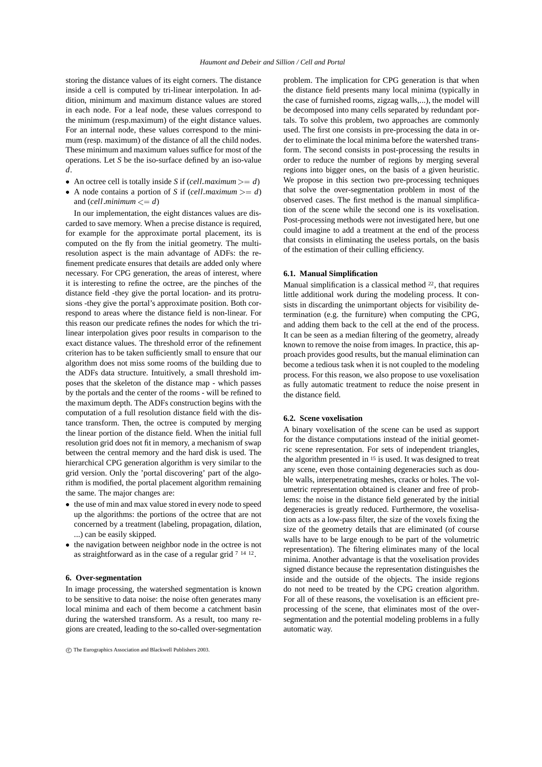storing the distance values of its eight corners. The distance inside a cell is computed by tri-linear interpolation. In addition, minimum and maximum distance values are stored in each node. For a leaf node, these values correspond to the minimum (resp.maximum) of the eight distance values. For an internal node, these values correspond to the minimum (resp. maximum) of the distance of all the child nodes. These minimum and maximum values suffice for most of the operations. Let *S* be the iso-surface defined by an iso-value *d*.

- An octree cell is totally inside *S* if (*cell maximum*  $>= d$ ) W
- A node contains a portion of *S* if (*cell maximum*  $>= d$ ) that and  $\text{(cell minimum} \leq d\text{)}$

In our implementation, the eight distances values are discarded to save memory. When a precise distance is required, for example for the approximate portal placement, its is computed on the fly from the initial geometry. The multiresolution aspect is the main advantage of ADFs: the refinement predicate ensures that details are added only where necessary. For CPG generation, the areas of interest, where it is interesting to refine the octree, are the pinches of the distance field -they give the portal location- and its protrusions -they give the portal's approximate position. Both correspond to areas where the distance field is non-linear. For this reason our predicate refines the nodes for which the trilinear interpolation gives poor results in comparison to the exact distance values. The threshold error of the refinement criterion has to be taken sufficiently small to ensure that our algorithm does not miss some rooms of the building due to the ADFs data structure. Intuitively, a small threshold imposes that the skeleton of the distance map - which passes by the portals and the center of the rooms - will be refined to the maximum depth. The ADFs construction begins with the computation of a full resolution distance field with the distance transform. Then, the octree is computed by merging the linear portion of the distance field. When the initial full resolution grid does not fit in memory, a mechanism of swap between the central memory and the hard disk is used. The hierarchical CPG generation algorithm is very similar to the grid version. Only the 'portal discovering' part of the algorithm is modified, the portal placement algorithm remaining the same. The major changes are:

- the use of min and max value stored in every node to speed up the algorithms: the portions of the octree that are not concerned by a treatment (labeling, propagation, dilation, ...) can be easily skipped.
- the navigation between neighbor node in the octree is not as straightforward as in the case of a regular grid <sup>7</sup> <sup>14</sup> <sup>12</sup>.

#### **6. Over-segmentation**

In image processing, the watershed segmentation is known to be sensitive to data noise: the noise often generates many local minima and each of them become a catchment basin during the watershed transform. As a result, too many regions are created, leading to the so-called over-segmentation

problem. The implication for CPG generation is that when the distance field presents many local minima (typically in the case of furnished rooms, zigzag walls,...), the model will be decomposed into many cells separated by redundant portals. To solve this problem, two approaches are commonly used. The first one consists in pre-processing the data in order to eliminate the local minima before the watershed transform. The second consists in post-processing the results in order to reduce the number of regions by merging several regions into bigger ones, on the basis of a given heuristic. We propose in this section two pre-processing techniques that solve the over-segmentation problem in most of the observed cases. The first method is the manual simplification of the scene while the second one is its voxelisation. Post-processing methods were not investigated here, but one could imagine to add a treatment at the end of the process that consists in eliminating the useless portals, on the basis of the estimation of their culling efficiency.

## **6.1. Manual Simplification**

Manual simplification is a classical method  $22$ , that requires little additional work during the modeling process. It consists in discarding the unimportant objects for visibility determination (e.g. the furniture) when computing the CPG, and adding them back to the cell at the end of the process. It can be seen as a median filtering of the geometry, already known to remove the noise from images. In practice, this approach provides good results, but the manual elimination can become a tedious task when it is not coupled to the modeling process. For this reason, we also propose to use voxelisation as fully automatic treatment to reduce the noise present in the distance field.

## **6.2. Scene voxelisation**

A binary voxelisation of the scene can be used as support for the distance computations instead of the initial geometric scene representation. For sets of independent triangles, the algorithm presented in <sup>15</sup> is used. It was designed to treat any scene, even those containing degeneracies such as double walls, interpenetrating meshes, cracks or holes. The volumetric representation obtained is cleaner and free of problems: the noise in the distance field generated by the initial degeneracies is greatly reduced. Furthermore, the voxelisation acts as a low-pass filter, the size of the voxels fixing the size of the geometry details that are eliminated (of course walls have to be large enough to be part of the volumetric representation). The filtering eliminates many of the local minima. Another advantage is that the voxelisation provides signed distance because the representation distinguishes the inside and the outside of the objects. The inside regions do not need to be treated by the CPG creation algorithm. For all of these reasons, the voxelisation is an efficient preprocessing of the scene, that eliminates most of the oversegmentation and the potential modeling problems in a fully automatic way.

c The Eurographics Association and Blackwell Publishers 2003.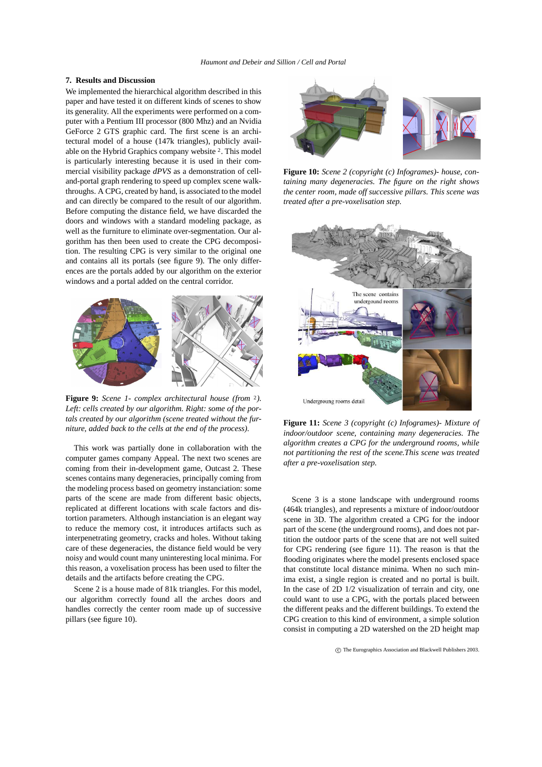## **7. Results and Discussion**

We implemented the hierarchical algorithm described in this paper and have tested it on different kinds of scenes to show its generality. All the experiments were performed on a computer with a Pentium III processor (800 Mhz) and an Nvidia GeForce 2 GTS graphic card. The first scene is an architectural model of a house (147k triangles), publicly available on the Hybrid Graphics company website <sup>2</sup>. This model is particularly interesting because it is used in their commercial visibility package *dPVS* as a demonstration of celland-portal graph rendering to speed up complex scene walkthroughs. A CPG, created by hand, is associated to the model and can directly be compared to the result of our algorithm. Before computing the distance field, we have discarded the doors and windows with a standard modeling package, as well as the furniture to eliminate over-segmentation. Our algorithm has then been used to create the CPG decomposition. The resulting CPG is very similar to the original one and contains all its portals (see figure 9). The only differences are the portals added by our algorithm on the exterior windows and a portal added on the central corridor.



**Figure 9:** *Scene 1- complex architectural house (from* <sup>2</sup>*). Left: cells created by our algorithm. Right: some of the portals created by our algorithm (scene treated without the furniture, added back to the cells at the end of the process).*

This work was partially done in collaboration with the computer games company Appeal. The next two scenes are coming from their in-development game, Outcast 2. These scenes contains many degeneracies, principally coming from the modeling process based on geometry instanciation: some parts of the scene are made from different basic objects, replicated at different locations with scale factors and distortion parameters. Although instanciation is an elegant way to reduce the memory cost, it introduces artifacts such as interpenetrating geometry, cracks and holes. Without taking care of these degeneracies, the distance field would be very noisy and would count many uninteresting local minima. For this reason, a voxelisation process has been used to filter the details and the artifacts before creating the CPG.

Scene 2 is a house made of 81k triangles. For this model, our algorithm correctly found all the arches doors and handles correctly the center room made up of successive pillars (see figure 10).



**Figure 10:** *Scene 2 (copyright (c) Infogrames)- house, containing many degeneracies. The figure on the right shows the center room, made off successive pillars. This scene was treated after a pre-voxelisation step.*



**Figure 11:** *Scene 3 (copyright (c) Infogrames)- Mixture of indoor/outdoor scene, containing many degeneracies. The algorithm creates a CPG for the underground rooms, while not partitioning the rest of the scene.This scene was treated after a pre-voxelisation step.*

Scene 3 is a stone landscape with underground rooms (464k triangles), and represents a mixture of indoor/outdoor scene in 3D. The algorithm created a CPG for the indoor part of the scene (the underground rooms), and does not partition the outdoor parts of the scene that are not well suited for CPG rendering (see figure 11). The reason is that the flooding originates where the model presents enclosed space that constitute local distance minima. When no such minima exist, a single region is created and no portal is built. In the case of 2D 1/2 visualization of terrain and city, one could want to use a CPG, with the portals placed between the different peaks and the different buildings. To extend the CPG creation to this kind of environment, a simple solution consist in computing a 2D watershed on the 2D height map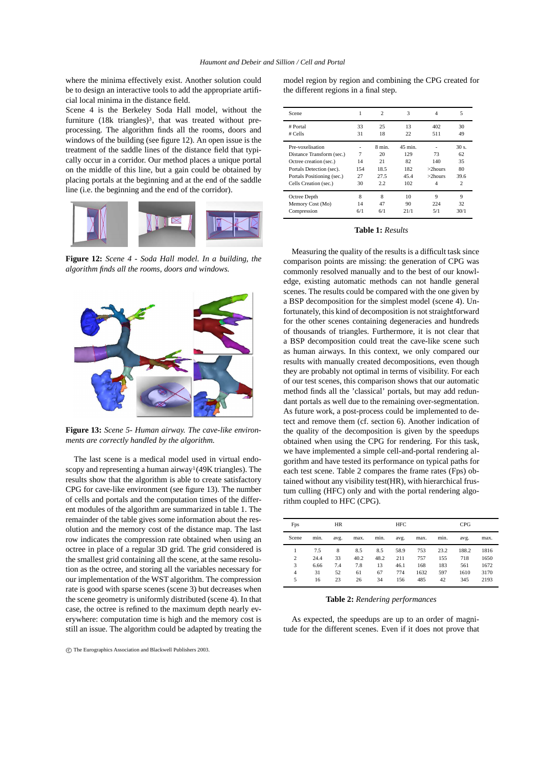where the minima effectively exist. Another solution could be to design an interactive tools to add the appropriate artificial local minima in the distance field.

Scene 4 is the Berkeley Soda Hall model, without the furniture (18k triangles)<sup>3</sup>, that was treated without preprocessing. The algorithm finds all the rooms, doors and windows of the building (see figure 12). An open issue is the treatment of the saddle lines of the distance field that typically occur in a corridor. Our method places a unique portal on the middle of this line, but a gain could be obtained by placing portals at the beginning and at the end of the saddle line (i.e. the beginning and the end of the corridor).



**Figure 12:** *Scene 4 - Soda Hall model. In a building, the algorithm finds all the rooms, doors and windows.*



**Figure 13:** *Scene 5- Human airway. The cave-like environments are correctly handled by the algorithm.*

The last scene is a medical model used in virtual endoscopy and representing a human airway<sup>1</sup>(49K triangles). The results show that the algorithm is able to create satisfactory CPG for cave-like environment (see figure 13). The number of cells and portals and the computation times of the different modules of the algorithm are summarized in table 1. The remainder of the table gives some information about the resolution and the memory cost of the distance map. The last row indicates the compression rate obtained when using an octree in place of a regular 3D grid. The grid considered is the smallest grid containing all the scene, at the same resolution as the octree, and storing all the variables necessary for our implementation of the WST algorithm. The compression rate is good with sparse scenes (scene 3) but decreases when the scene geometry is uniformly distributed (scene 4). In that case, the octree is refined to the maximum depth nearly everywhere: computation time is high and the memory cost is still an issue. The algorithm could be adapted by treating the

c The Eurographics Association and Blackwell Publishers 2003.

model region by region and combining the CPG created for the different regions in a final step.

| Scene                      | 1   | $\overline{c}$ | 3       | $\overline{4}$ | 5       |
|----------------------------|-----|----------------|---------|----------------|---------|
| # Portal                   | 33  | 25<br>13       |         | 402            | 30      |
| # Cells                    | 31  | 18             | 22      | 511            | 49      |
| Pre-voxelisation           |     | 8 min.         | 45 min. |                | $30s$ . |
| Distance Transform (sec.)  | 7   | 20             | 129     | 73             | 62      |
| Octree creation (sec.)     | 14  | 21             | 82      | 140            | 35      |
| Portals Detection (sec).   | 154 | 18.5           | 182     | $>2$ hours     | 80      |
| Portals Positioning (sec.) | 27  | 27.5           | 45.4    | $>2$ hours     | 39.6    |
| Cells Creation (sec.)      | 30  | 2.2            | 102     | $\overline{4}$ | 2       |
| Octree Depth               | 8   | 8              | 10      | 9              | 9       |
| Memory Cost (Mo)           | 14  | 47             | 90      | 224            | 32      |
| Compression                | 6/1 | 6/1            | 21/1    | 5/1            | 30/1    |

#### **Table 1:** *Results*

Measuring the quality of the results is a difficult task since comparison points are missing: the generation of CPG was commonly resolved manually and to the best of our knowledge, existing automatic methods can not handle general scenes. The results could be compared with the one given by a BSP decomposition for the simplest model (scene 4). Unfortunately, this kind of decomposition is not straightforward for the other scenes containing degeneracies and hundreds of thousands of triangles. Furthermore, it is not clear that a BSP decomposition could treat the cave-like scene such as human airways. In this context, we only compared our results with manually created decompositions, even though they are probably not optimal in terms of visibility. For each of our test scenes, this comparison shows that our automatic method finds all the 'classical' portals, but may add redundant portals as well due to the remaining over-segmentation. As future work, a post-process could be implemented to detect and remove them (cf. section 6). Another indication of the quality of the decomposition is given by the speedups obtained when using the CPG for rendering. For this task, we have implemented a simple cell-and-portal rendering algorithm and have tested its performance on typical paths for each test scene. Table 2 compares the frame rates (Fps) obtained without any visibility test(HR), with hierarchical frustum culling (HFC) only and with the portal rendering algorithm coupled to HFC (CPG).

| Fps            | <b>HR</b> |      |      | HFC  |      |      | CPG  |       |      |
|----------------|-----------|------|------|------|------|------|------|-------|------|
| Scene          | min.      | avg. | max. | min. | avg. | max. | min. | avg.  | max. |
|                | 7.5       | 8    | 8.5  | 8.5  | 58.9 | 753  | 23.2 | 188.2 | 1816 |
| 2              | 24.4      | 33   | 40.2 | 48.2 | 211  | 757  | 155  | 718   | 1650 |
| 3              | 6.66      | 7.4  | 7.8  | 13   | 46.1 | 168  | 183  | 561   | 1672 |
| $\overline{4}$ | 31        | 52   | 61   | 67   | 774  | 1632 | 597  | 1610  | 3170 |
| 5              | 16        | 23   | 26   | 34   | 156  | 485  | 42   | 345   | 2193 |

## **Table 2:** *Rendering performances*

As expected, the speedups are up to an order of magnitude for the different scenes. Even if it does not prove that